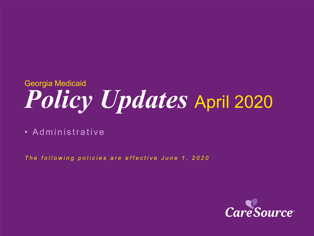# *Policy Updates* April 2020 Georgia Medicaid

• Administrative

*The following policies are effective June 1 , 2020*

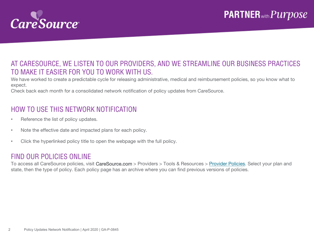

#### AT CARESOURCE, WE LISTEN TO OUR PROVIDERS, AND WE STREAMLINE OUR BUSINESS PRACTICES TO MAKE IT EASIER FOR YOU TO WORK WITH US.

We have worked to create a predictable cycle for releasing administrative, medical and reimbursement policies, so you know what to expect.

Check back each month for a consolidated network notification of policy updates from CareSource.

### HOW TO USE THIS NETWORK NOTIFICATION

- Reference the list of policy updates.
- Note the effective date and impacted plans for each policy.
- Click the hyperlinked policy title to open the webpage with the full policy.

#### FIND OUR POLICIES ONLINE

To access all CareSource policies, visit CareSource.com > Providers > Tools & Resources > [Provider Policies.](https://www.caresource.com/providers/tools-resources/health-partner-policies/) Select your plan and state, then the type of policy. Each policy page has an archive where you can find previous versions of policies.